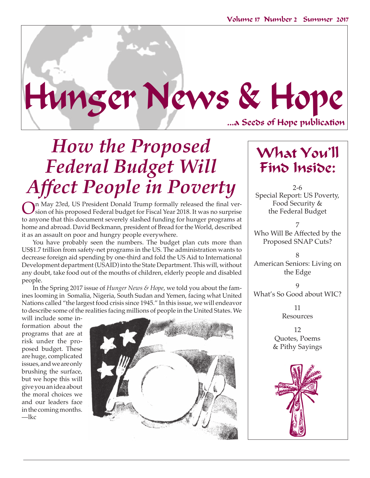...a Seeds of Hope publication

## *How the Proposed Federal Budget Will Affect People in Poverty*  $\Big|$  2-6

Hunger News & Hope

On May 23rd, US President Donald Trump formally released the final ver-<br>sion of his proposed Federal budget for Fiscal Year 2018. It was no surprise<br>to any one that this document accounts also hed four line for hun conserv to anyone that this document severely slashed funding for hunger programs at home and abroad. David Beckmann, president of Bread for the World, described it as an assault on poor and hungry people everywhere.

You have probably seen the numbers. The budget plan cuts more than US\$1.7 trillion from safety-net programs in the US. The administration wants to decrease foreign aid spending by one-third and fold the US Aid to International Development department (USAID) into the State Department. This will, without any doubt, take food out of the mouths of children, elderly people and disabled people.

In the Spring 2017 issue of *Hunger News & Hope*, we told you about the famines looming in Somalia, Nigeria, South Sudan and Yemen, facing what United Nations called "the largest food crisis since 1945." In this issue, we will endeavor to describe some of the realities facing millions of people in the United States. We

will include some information about the programs that are at risk under the proposed budget. These are huge, complicated issues, and we are only brushing the surface, but we hope this will give you an idea about the moral choices we and our leaders face in the coming months. —lkc



## What You'll Find Inside:

Special Report: US Poverty, Food Security & the Federal Budget

7 Who Will Be Affected by the Proposed SNAP Cuts?

8 American Seniors: Living on the Edge

 $\overline{Q}$ What's So Good about WIC?

> 11 Resources

12 Quotes, Poems & Pithy Sayings

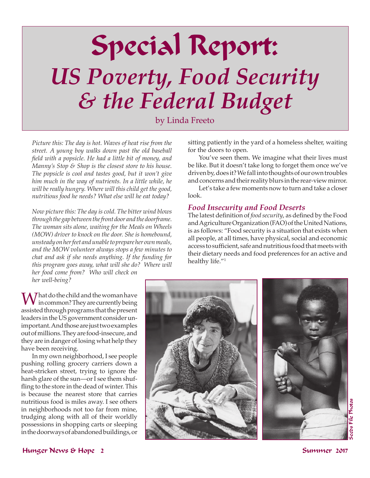# Special Report: *US Poverty, Food Security & the Federal Budget*

by Linda Freeto

*Picture this: The day is hot. Waves of heat rise from the street. A young boy walks down past the old baseball field with a popsicle. He had a little bit of money, and Manny's Stop & Shop is the closest store to his house. The popsicle is cool and tastes good, but it won't give him much in the way of nutrients. In a little while, he will be really hungry. Where will this child get the good, nutritious food he needs? What else will he eat today?* 

*Now picture this: The day is cold. The bitter wind blows through the gap between the front door and the doorframe. The woman sits alone, waiting for the Meals on Wheels (MOW) driver to knock on the door. She is homebound, unsteady on her feet and unable to prepare her own meals, and the MOW volunteer always stops a few minutes to chat and ask if she needs anything. If the funding for this program goes away, what will she do? Where will her food come from? Who will check on her well-being?*

sitting patiently in the yard of a homeless shelter, waiting for the doors to open.

You've seen them. We imagine what their lives must be like. But it doesn't take long to forget them once we've driven by, does it? We fall into thoughts of our own troubles and concerns and their reality blurs in the rear-view mirror.

Let's take a few moments now to turn and take a closer look.

#### *Food Insecurity and Food Deserts*

The latest definition of *food security*, as defined by the Food and Agriculture Organization (FAO) of the United Nations, is as follows: "Food security is a situation that exists when all people, at all times, have physical, social and economic access to sufficient, safe and nutritious food that meets with their dietary needs and food preferences for an active and healthy life."<sup>1</sup>

What do the child and the woman have<br>in common? They are currently being<br>exists diluming a management is the present assisted through programs that the present leaders in the US government consider unimportant. And those are just two examples out of millions. They are food-insecure, and they are in danger of losing what help they have been receiving.

In my own neighborhood, I see people pushing rolling grocery carriers down a heat-stricken street, trying to ignore the harsh glare of the sun—or I see them shuffling to the store in the dead of winter. This is because the nearest store that carries nutritious food is miles away. I see others in neighborhoods not too far from mine, trudging along with all of their worldly possessions in shopping carts or sleeping in the doorways of abandoned buildings, or



cos File Photos Seeds File Photos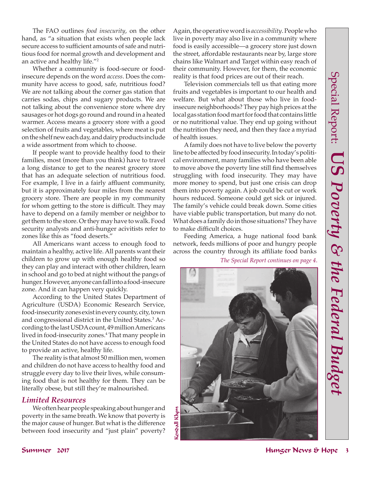The FAO outlines *food insecurity*, on the other hand, as "a situation that exists when people lack secure access to sufficient amounts of safe and nutritious food for normal growth and development and an active and healthy life."<sup>2</sup>

Whether a community is food-secure or foodinsecure depends on the word *access*. Does the community have access to good, safe, nutritious food? We are not talking about the corner gas station that carries sodas, chips and sugary products. We are not talking about the convenience store where dry sausages or hot dogs go round and round in a heated warmer. Access means a grocery store with a good selection of fruits and vegetables, where meat is put on the shelf new each day, and dairy products include a wide assortment from which to choose.

If people want to provide healthy food to their families, most (more than you think) have to travel a long distance to get to the nearest grocery store that has an adequate selection of nutritious food. For example, I live in a fairly affluent community, but it is approximately four miles from the nearest grocery store. There are people in my community for whom getting to the store is difficult. They may have to depend on a family member or neighbor to get them to the store. Or they may have to walk. Food security analysts and anti-hunger acivitists refer to zones like this as "food deserts."

All Americans want access to enough food to maintain a healthy, active life. All parents want their children to grow up with enough healthy food so they can play and interact with other children, learn in school and go to bed at night without the pangs of hunger. However, anyone can fall into a food-insecure zone. And it can happen very quickly.

 According to the United States Department of Agriculture (USDA) Economic Research Service, food-insecurity zones exist in every county, city, town and congressional district in the United States.<sup>3</sup> According to the last USDA count, 49 million Americans lived in food-insecurity zones.<sup>4</sup> That many people in the United States do not have access to enough food to provide an active, healthy life.

The reality is that almost 50 million men, women and children do not have access to healthy food and struggle every day to live their lives, while consuming food that is not healthy for them. They can be literally obese, but still they're malnourished.

#### *Limited Resources*

We often hear people speaking about hunger and poverty in the same breath. We know that poverty is the major cause of hunger. But what is the difference between food insecurity and "just plain" poverty?

Again, the operative word is *accessibility*. People who live in poverty may also live in a community where food is easily accessible—a grocery store just down the street, affordable restaurants near by, large store chains like Walmart and Target within easy reach of their community. However, for them, the economic reality is that food prices are out of their reach.

Television commercials tell us that eating more fruits and vegetables is important to our health and welfare. But what about those who live in foodinsecure neighborhoods? They pay high prices at the local gas station food mart for food that contains little or no nutritional value. They end up going without the nutrition they need, and then they face a myriad of health issues.

A family does not have to live below the poverty line to be affected by food insecurity. In today's political environment, many families who have been able to move above the poverty line still find themselves struggling with food insecurity. They may have more money to spend, but just one crisis can drop them into poverty again. A job could be cut or work hours reduced. Someone could get sick or injured. The family's vehicle could break down. Some cities have viable public transportation, but many do not. What does a family do in those situations? They have to make difficult choices.

Feeding America, a huge national food bank network, feeds millions of poor and hungry people across the country through its affiliate food banks

*The Special Report continues on page 4*.

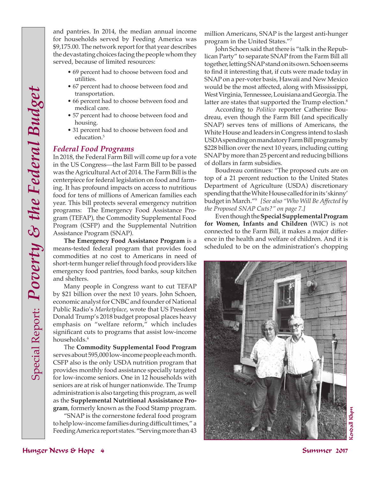and pantries. In 2014, the median annual income for households served by Feeding America was \$9,175.00. The network report for that year describes the devastating choices facing the people whom they served, because of limited resources:

- 69 percent had to choose between food and utilities.
- 67 percent had to choose between food and transportation.
- 66 percent had to choose between food and medical care.
- 57 percent had to choose between food and housing.
- 31 percent had to choose between food and education.<sup>5</sup>

#### *Federal Food Programs*

In 2018, the Federal Farm Bill will come up for a vote in the US Congress—the last Farm Bill to be passed was the Agricultural Act of 2014. The Farm Bill is the centerpiece for federal legislation on food and farming. It has profound impacts on access to nutritious food for tens of millions of American families each year. This bill protects several emergency nutrition programs: The Emergency Food Assistance Program (TEFAP), the Commodity Supplemental Food Program (CSFP) and the Supplemental Nutrition Assistance Program (SNAP).

**The Emergency Food Assistance Program** is a means-tested federal program that provides food commodities at no cost to Americans in need of short-term hunger relief through food providers like emergency food pantries, food banks, soup kitchen and shelters.

Many people in Congress want to cut TEFAP by \$21 billion over the next 10 years. John Schoen, economic analyst for CNBC and founder of National Public Radio's *Marketplace*, wrote that US President Donald Trump's 2018 budget proposal places heavy emphasis on "welfare reform," which includes significant cuts to programs that assist low-income households.<sup>6</sup>

The **Commodity Supplemental Food Program** serves about 595,000 low-income people each month. CSFP also is the only USDA nutrition program that provides monthly food assistance specially targeted for low-income seniors. One in 12 households with seniors are at risk of hunger nationwide. The Trump administration is also targeting this program, as well as the **Supplemental Nutritional Assisistance Program**, formerly known as the Food Stamp program.

"SNAP is the cornerstone federal food program to help low-income families during difficult times," a Feeding America report states. "Serving more than 43 million Americans, SNAP is the largest anti-hunger program in the United States."<sup>7</sup>

John Schoen said that there is "talk in the Republican Party" to separate SNAP from the Farm Bill all together, letting SNAP stand on its own. Schoen seems to find it interesting that, if cuts were made today in SNAP on a per-voter basis, Hawaii and New Mexico would be the most affected, along with Mississippi, West Virginia, Tennessee, Louisiana and Georgia. The latter are states that supported the Trump election.<sup>8</sup>

According to *Politico* reporter Catherine Boudreau, even though the Farm Bill (and specifically SNAP) serves tens of millions of Americans, the White House and leaders in Congress intend to slash USDA spending on mandatory Farm Bill programs by \$228 billion over the next 10 years, including cutting SNAP by more than 25 percent and reducing billions of dollars in farm subsidies.

Boudreau continues: "The proposed cuts are on top of a 21 percent reduction to the United States Department of Agriculture (USDA) discretionary spending that the White House called for in its 'skinny' budget in March."<sup>9</sup> *[See also "Who Will Be Affected by the Proposed SNAP Cuts?" on page 7.]*

Even though the **Special Supplemental Program for Women, Infants and Children** (WIC) is not connected to the Farm Bill, it makes a major difference in the health and welfare of children. And it is scheduled to be on the administration's chopping

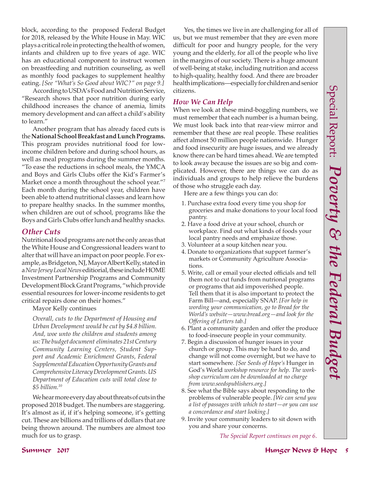block, according to the proposed Federal Budget for 2018, released by the White House in May. WIC plays a critical role in protecting the health of women, infants and children up to five years of age. WIC has an educational component to instruct women on breastfeeding and nutrition counseling, as well as monthly food packages to supplement healthy eating. *[See "What's So Good about WIC?" on page 9.]*

According to USDA's Food and Nutrition Service, "Research shows that poor nutrition during early childhood increases the chance of anemia, limits memory development and can affect a child's ability to learn."

Another program that has already faced cuts is the **National School Breakfast and Lunch Programs.** This program provides nutritional food for lowincome children before and during school hours, as well as meal programs during the summer months. "To ease the reductions in school meals, the YMCA and Boys and Girls Clubs offer the Kid's Farmer's Market once a month throughout the school year."7 Each month during the school year, children have been able to attend nutritional classes and learn how to prepare healthy snacks. In the summer months, when children are out of school, programs like the Boys and Girls Clubs offer lunch and healthy snacks.

#### *Other Cuts*

Nutritional food programs are not the only areas that the White House and Congressional leaders want to alter that will have an impact on poor people. For example, as Bridgeton, NJ, Mayor Albert Kelly, stated in a *New Jersey Local News* editiorial, these include HOME Investment Partnership Programs and Community Development Block Grant Programs, "which provide essential resources for lower-income residents to get critical repairs done on their homes."

Mayor Kelly continues

*Overall, cuts to the Department of Housing and Urban Development would be cut by \$4.8 billion. And, woe unto the children and students among us: The budget document eliminates 21st Century Community Learning Centers, Student Support and Academic Enrichment Grants, Federal Supplemental Education Opportunity Grants and Comprehensive Literacy Development Grants. US Department of Education cuts will total close to \$5 billion.<sup>10</sup>*

We hear more every day about threats of cuts in the proposed 2018 budget. The numbers are staggering. It's almost as if, if it's helping someone, it's getting cut. These are billions and trillions of dollars that are being thrown around. The numbers are almost too much for us to grasp.

Yes, the times we live in are challenging for all of us, but we must remember that they are even more difficult for poor and hungry people, for the very young and the elderly, for all of the people who live in the margins of our society. There is a huge amount of well-being at stake, including nutrition and access to high-quality, healthy food. And there are broader health implications—especially for children and senior citizens.

#### *How We Can Help*

When we look at these mind-boggling numbers, we must remember that each number is a human being. We must look back into that rear-view mirror and remember that these are real people. These realities affect almost 50 million people nationwide. Hunger and food insecurity are huge issues, and we already know there can be hard times ahead. We are tempted to look away because the issues are so big and complicated. However, there are things we can do as individuals and groups to help relieve the burdens of those who struggle each day.

Here are a few things you can do:

- 1. Purchase extra food every time you shop for groceries and make donations to your local food pantry.
- 2. Have a food drive at your school, church or workplace. Find out what kinds of foods your local pantry needs and emphasize those.
- 3. Volunteer at a soup kitchen near you.
- 4. Donate to organizations that support farmer's markets or Community Agriculture Associations.
- 5. Write, call or email your elected officials and tell them not to cut funds from nutrional programs or programs that aid impoverished people. Tell them that it is also important to protect the Farm Bill—and, especially SNAP. *[For help in wording your communication, go to Bread for the World's website—www.bread.org—and look for the Offering of Letters tab.]*
- 6. Plant a community garden and offer the produce to food-insecure people in your community.
- 7. Begin a discussion of hunger issues in your church or group. This may be hard to do, and change will not come overnight, but we have to start somewhere. *[See Seeds of Hope's* Hunger in God's World *workshop resource for help. The workshop curriculum can be downloaded at no charge from www.seedspublishers.org.]*
- 8. See what the Bible says about responding to the problems of vulnerable people. *[We can send you a list of passages with which to start—or you can use a concordance and start looking.]*
- 9. Invite your community leaders to sit down with you and share your concerns.

*The Special Report continues on page 6*.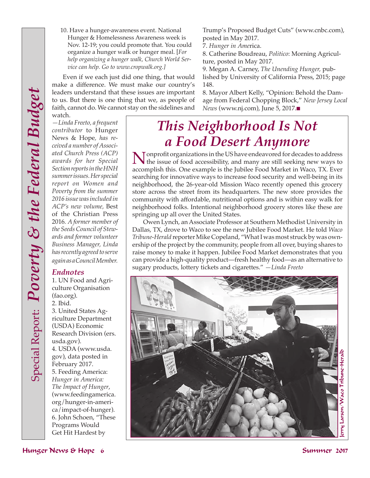*Endnotes*

(fao.org). 2. Ibid.

usda.gov).

1. UN Food and Agriculture Organisation

3. United States Agriculture Department (USDA) Economic Research Division (ers.

4. USDA (www.usda. gov), data posted in February 2017. 5. Feeding America: *Hunger in America: The Impact of Hunger*, (www.feedingamerica. org/hunger-in-america/impact-of-hunger). 6. John Schoen, "These Programs Would Get Hit Hardest by

10. Have a hunger-awareness event. National Hunger & Homelessness Awareness week is Nov. 12-19; you could promote that. You could organize a hunger walk or hunger meal. [*For help organizing a hunger walk, Church World Service can help. Go to www.cropwalk.org.]*

Even if we each just did one thing, that would make a difference. We must make our country's leaders understand that these issues are important to us. But there is one thing that we, as people of faith, cannot do. We cannot stay on the sidelines and watch.

*—Linda Freeto, a frequent contributor* to Hunger News & Hope*, has received a number of Associated Church Press (ACP) awards for her Special Section reports in the HNH summer issues. Her special report on Women and Poverty from the summer 2016 issue was included in ACP's new volume,* Best of the Christian Press 2016*. A former member of the Seeds Council of Stewards and former volunteer Business Manager, Linda has recently agreed to serve again as a Council Member.* 

Trump's Proposed Budget Cuts" (www.cnbc.com), posted in May 2017.

7. *Hunger in Ame*rica.

8. Catherine Boudreau, *Politico*: Morning Agriculture, posted in May 2017.

9. Megan A. Carney, *The Unending Hunger,* published by University of California Press, 2015; page 148.

8. Mayor Albert Kelly, "Opinion: Behold the Damage from Federal Chopping Block," *New Jersey Local News* (www.nj.com), June 5, 2017.**■** 

## *This Neighborhood Is Not a Food Desert Anymore*

Nonprofit organizations in the US have endeavored for decades to address<br>the issue of food accessibility, and many are still seeking new ways to<br>recognitial this Organization is the Inhibital Faced Market in Ways. TX Franc accomplish this. One example is the Jubilee Food Market in Waco, TX. Ever searching for innovative ways to increase food security and well-being in its neighborhood, the 26-year-old Mission Waco recently opened this grocery store across the street from its headquarters. The new store provides the community with affordable, nutritional options and is within easy walk for neighborhood folks. Intentional neighborhood grocery stores like these are springing up all over the United States.

Owen Lynch, an Associate Professor at Southern Methodist University in Dallas, TX, drove to Waco to see the new Jubilee Food Market. He told *Waco Tribune-Herald* reporter Mike Copeland, "What I was most struck by was ownership of the project by the community, people from all over, buying shares to raise money to make it happen. Jubilee Food Market demonstrates that you can provide a high-quality product—fresh healthy food—as an alternative to sugary products, lottery tickets and cigarettes." *—Linda Freeto*

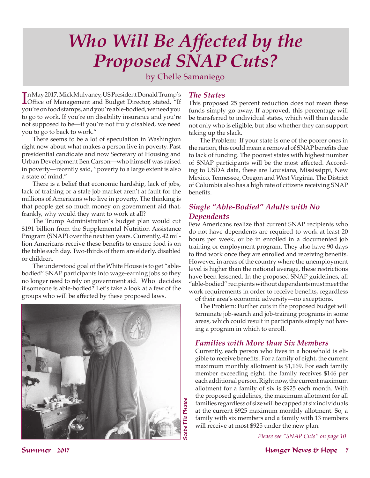## *Who Will Be Affected by the Proposed SNAP Cuts?*

#### by Chelle Samaniego

In May 2017, Mick Mulvaney, US President Donald Trump's<br>
Office of Management and Budget Director, stated, "If n May 2017, Mick Mulvaney, US President Donald Trump's you're on food stamps, and you're able-bodied, we need you to go to work. If you're on disability insurance and you're not supposed to be—if you're not truly disabled, we need you to go to back to work."

There seems to be a lot of speculation in Washington right now about what makes a person live in poverty. Past presidential candidate and now Secretary of Housing and Urban Development Ben Carson—who himself was raised in poverty—recently said, "poverty to a large extent is also a state of mind."

There is a belief that economic hardship, lack of jobs, lack of training or a stale job market aren't at fault for the millions of Americans who live in poverty. The thinking is that people get so much money on government aid that, frankly, why would they want to work at all?

The Trump Administration's budget plan would cut \$191 billion from the Supplemental Nutrition Assistance Program (SNAP) over the next ten years. Currently, 42 million Americans receive these benefits to ensure food is on the table each day. Two-thirds of them are elderly, disabled or children.

The understood goal of the White House is to get "ablebodied" SNAP participants into wage-earning jobs so they no longer need to rely on government aid. Who decides if someone is able-bodied? Let's take a look at a few of the groups who will be affected by these proposed laws.



#### *The States*

This proposed 25 percent reduction does not mean these funds simply go away. If approved, this percentage will be transferred to individual states, which will then decide not only who is eligible, but also whether they can support taking up the slack.

The Problem: If your state is one of the poorer ones in the nation, this could mean a removal of SNAP benefits due to lack of funding. The poorest states with highest number of SNAP participants will be the most affected. According to USDA data, these are Louisiana, Mississippi, New Mexico, Tennessee, Oregon and West Virginia. The District of Columbia also has a high rate of citizens receiving SNAP benefits.

#### *Single "Able-Bodied" Adults with No Dependents*

Few Americans realize that current SNAP recipients who do not have dependents are required to work at least 20 hours per week, or be in enrolled in a documented job training or employment program. They also have 90 days to find work once they are enrolled and receiving benefits. However, in areas of the country where the unemployment level is higher than the national average, these restrictions have been lessened. In the proposed SNAP guidelines, all "able-bodied" recipients without dependents must meet the work requirements in order to receive benefits, regardless of their area's economic adversity—no exceptions.

The Problem: Further cuts in the proposed budget will terminate job-search and job-training programs in some areas, which could result in participants simply not having a program in which to enroll.

#### *Families with More than Six Members*

Currently, each person who lives in a household is eligible to receive benefits. For a family of eight, the current maximum monthly allotment is \$1,169. For each family member exceeding eight, the family receives \$146 per each additional person. Right now, the current maximum allotment for a family of six is \$925 each month. With the proposed guidelines, the maximum allotment for all families regardless of size will be capped at six individuals at the current \$925 maximum monthly allotment. So, a family with six members and a family with 13 members will receive at most \$925 under the new plan.

*Please see "SNAP Cuts" on page 10*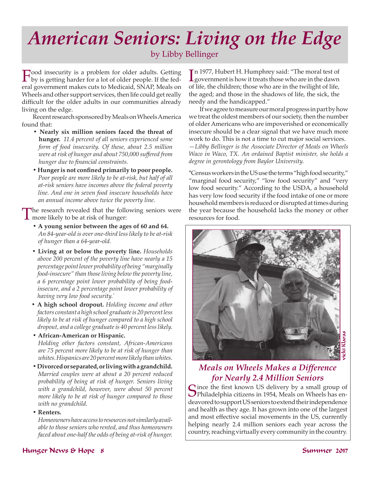## *American Seniors: Living on the Edge*

by Libby Bellinger

Food insecurity is a problem for older adults. Getting<br>by is getting harder for a lot of older people. If the fed-<br>and assumment makes with the Madissid SNAR Made and eral government makes cuts to Medicaid, SNAP, Meals on Wheels and other support services, then life could get really difficult for the older adults in our communities already living on the edge.

Recent research sponsored by Meals on Wheels America found that:

- **Nearly six million seniors faced the threat of hunger.** *11.4 percent of all seniors experienced some form of food insecurity. Of these, about 2.5 million were at risk of hunger and about 750,000 suffered from hunger due to financial constraints.*
- **Hunger is not confined primarily to poor people.** Poor people are more likely to be at-risk, but half of all *at-risk seniors have incomes above the federal poverty line. And one in seven food insecure households have an annual income above twice the poverty line.*

The research revealed that the following seniors were **1** more likely to be at risk of hunger:

- **A young senior between the ages of 60 and 64.** *An 84-year-old is over one-third less likely to be at-risk of hunger than a 64-year-old.*
- **Living at or below the poverty line.** *Households above 200 percent of the poverty line have nearly a 15 percentage point lower probability of being "marginally food-insecure" than those living below the poverty line, a 6 percentage point lower probability of being foodinsecure, and a 2 percentage point lower probability of having very low food security.\**
- **A high school dropout.** *Holding income and other factors constant a high school graduate is 20 percent less likely to be at risk of hunger compared to a high school dropout, and a college graduate is 40 percent less likely.*
- **African-American or Hispanic.** *Holding other factors constant, African-Americans are 75 percent more likely to be at risk of hunger than whites. Hispanics are 20 percent more likely than whites.*
- **Divorced or separated, or living with a grandchild.** *Married couples were at about a 20 percent reduced probability of being at risk of hunger. Seniors living with a grandchild, however, were about 50 percent more likely to be at risk of hunger compared to those with no grandchild.*
- **Renters.**

*Homeowners have access to resources not similarly available to those seniors who rented, and thus homeowners faced about one-half the odds of being at-risk of hunger.*

 $\prod_{\text{1}}$ n 1977, Hubert H. Humphrey said: "The moral test of government is how it treats those who are in the dawn n 1977, Hubert H. Humphrey said: "The moral test of of life, the children; those who are in the twilight of life, the aged; and those in the shadows of life, the sick, the needy and the handicapped."

If we agree to measure our moral progress in part by how we treat the oldest members of our society, then the number of older Americans who are impoverished or economically insecure should be a clear signal that we have much more work to do. This is not a time to cut major social services. *—Libby Bellinger is the Associate Director of Meals on Wheels Waco in Waco, TX. An ordained Baptist minister, she holds a degree in gerontology from Baylor University.*

\*Census workers in the US use the terms "high food security," "marginal food security," "low food security" and "very low food security." According to the USDA, a household has very low food security if the food intake of one or more household members is reduced or disrupted at times during the year because the household lacks the money or other resources for food.



#### *Meals on Wheels Makes a Difference for Nearly 2.4 Million Seniors*

Since the first known US delivery by a small group of Sphiladelphia citizens in 1954, Meals on Wheels has endeavored to support US seniors to extend their independence and health as they age. It has grown into one of the largest and most effective social movements in the US, currently helping nearly 2.4 million seniors each year across the country, reaching virtually every community in the country.

#### Hunger News & Hope 8 Summer 2017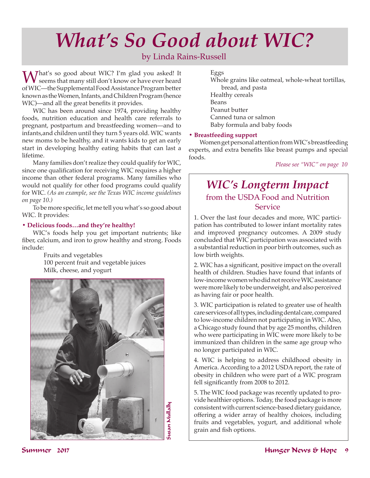## *What's So Good about WIC?*

#### by Linda Rains-Russell

Mhat's so good about WIC? I'm glad you asked! It seems that many still don't know or have ever heard of WIC—the Supplemental Food Assistance Program better known as the Women, Infants, and Children Program (hence WIC)—and all the great benefits it provides.

WIC has been around since 1974, providing healthy foods, nutrition education and health care referrals to pregnant, postpartum and breastfeeding women—and to infants,and children until they turn 5 years old. WIC wants new moms to be healthy, and it wants kids to get an early start in developing healthy eating habits that can last a lifetime.

Many families don't realize they could qualify for WIC, since one qualification for receiving WIC requires a higher income than other federal programs. Many families who would not qualify for other food programs could qualify for WIC. *(As an example, see the Texas WIC income guidelines on page 10.)*

To be more specific, let me tell you what's so good about WIC. It provides:

#### **• Delicious foods…and they're healthy!**

WIC's foods help you get important nutrients; like fiber, calcium, and iron to grow healthy and strong. Foods include:

> Fruits and vegetables 100 percent fruit and vegetable juices Milk, cheese, and yogurt



#### Eggs

Whole grains like oatmeal, whole-wheat tortillas, bread, and pasta Healthy cereals Beans Peanut butter Canned tuna or salmon Baby formula and baby foods

#### **• Breastfeeding support**

Women get personal attention from WIC's breastfeeding experts, and extra benefits like breast pumps and special foods.

*Please see "WIC" on page 10*

### *WIC's Longterm Impact* from the USDA Food and Nutrition Service

1. Over the last four decades and more, WIC participation has contributed to lower infant mortality rates and improved pregnancy outcomes. A 2009 study concluded that WIC participation was associated with a substantial reduction in poor birth outcomes, such as low birth weights.

2. WIC has a significant, positive impact on the overall health of children. Studies have found that infants of low-income women who did not receive WIC assistance were more likely to be underweight, and also perceived as having fair or poor health.

3. WIC participation is related to greater use of health care services of all types, including dental care, compared to low-income children not participating in WIC. Also, a Chicago study found that by age 25 months, children who were participating in WIC were more likely to be immunized than children in the same age group who no longer participated in WIC.

4. WIC is helping to address childhood obesity in America. According to a 2012 USDA report, the rate of obesity in children who were part of a WIC program fell significantly from 2008 to 2012.

5. The WIC food package was recently updated to provide healthier options. Today, the food package is more consistent with current science-based dietary guidance, offering a wider array of healthy choices, including fruits and vegetables, yogurt, and additional whole grain and fish options.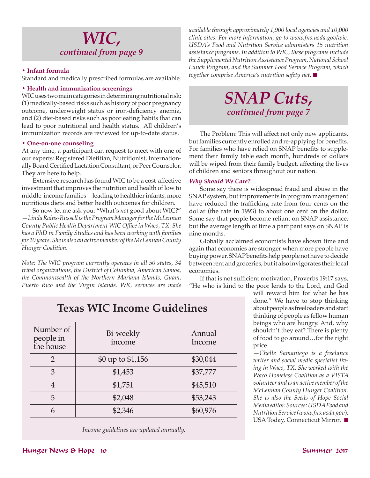### *WIC, continued from page 9*

#### **• Infant formula**

Standard and medically prescribed formulas are available.

#### **• Health and immunization screenings**

WIC uses two main categories in determining nutritional risk: (1) medically-based risks such as history of poor pregnancy outcome, underweight status or iron-deficiency anemia, and (2) diet-based risks such as poor eating habits that can lead to poor nutritional and health status*.* All children's immunization records are reviewed for up-to-date status.

#### **• One-on-one counseling**

At any time, a participant can request to meet with one of our experts: Registered Dietitian, Nutritionist, Internationally Board Certified Lactation Consultant, or Peer Counselor. They are here to help.

Extensive research has found WIC to be a cost-affective investment that improves the nutrition and health of low to middle-income families—leading to healthier infants, more nutritious diets and better health outcomes for children.

So now let me ask you: "What's *not* good about WIC?" *—Linda Rains-Russell is the Program Manager for the McLennan County Public Health Department WIC Office in Waco, TX. She has a PhD in Family Studies and has been working with families for 20 years. She is also an active member of the McLennan County Hunger Coalition.* 

*Note: The WIC program currently operates in all 50 states, 34 tribal organizations, the District of Columbia, American Samoa, the Commonwealth of the Northern Mariana Islands, Guam, Puerto Rico and the Virgin Islands. WIC services are made*  *available through approximately 1,900 local agencies and 10,000 clinic sites. For more information, go to www.fns.usda.gov/wic. USDA's Food and Nutrition Service administers 15 nutrition assistance programs. In addition to WIC, these programs include the Supplemental Nutrition Assistance Program, National School Lunch Program, and the Summer Food Service Program, which together comprise America's nutrition safety net.* ■

## *SNAP Cuts, continued from page 7*

The Problem: This will affect not only new applicants, but families currently enrolled and re-applying for benefits. For families who have relied on SNAP benefits to supplement their family table each month, hundreds of dollars will be wiped from their family budget, affecting the lives of children and seniors throughout our nation.

#### *Why Should We Care?*

Some say there is widespread fraud and abuse in the SNAP system, but improvements in program management have reduced the trafficking rate from four cents on the dollar (the rate in 1993) to about one cent on the dollar. Some say that people become reliant on SNAP assistance, but the average length of time a partipant says on SNAP is nine months.

Globally acclaimed economists have shown time and again that economies are stronger when more people have buying power. SNAP benefits help people not have to decide between rent and groceries, but it also invigorates their local economies.

If that is not sufficient motivation, Proverbs 19:17 says, "He who is kind to the poor lends to the Lord, and God

> will reward him for what he has done." We have to stop thinking about people as freeloaders and start thinking of people as fellow human beings who are hungry. And, why shouldn't they eat? There is plenty of food to go around…for the right price.

> *—Chelle Samaniego is a freelance writer and social media specialist living in Waco, TX. She worked with the Waco Homeless Coalition as a VISTA volunteer and is an active member of the McLennan County Hunger Coalition. She is also the Seeds of Hope Social Media editor. Sources: USDA Food and Nutrition Service (www.fns.usda.gov*), USA Today, Connecticut Mirror*.* n

### **Texas WIC Income Guidelines**

| Number of<br>people in<br>the house | Bi-weekly<br>income | Annual<br>Income |
|-------------------------------------|---------------------|------------------|
|                                     | \$0 up to \$1,156   | \$30,044         |
| 3                                   | \$1,453             | \$37,777         |
|                                     | \$1,751             | \$45,510         |
| 5                                   | \$2,048             | \$53,243         |
| 6                                   | \$2,346             | \$60,976         |

*Income guidelines are updated annually.*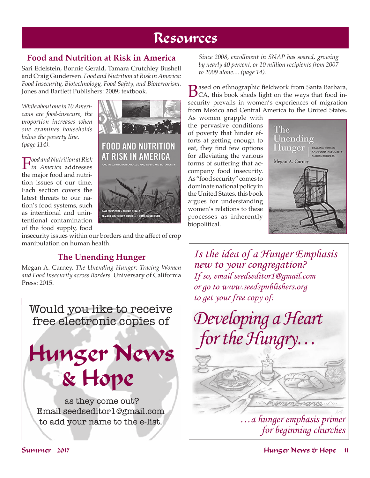## Resources

#### **Food and Nutrition at Risk in America**

Sari Edelstein, Bonnie Gerald, Tamara Crutchley Bushell and Craig Gundersen. *Food and Nutrition at Risk in America: Food Insecurity, Biotechnology, Food Safety, and Bioterrorism.* Jones and Bartlett Publishers: 2009; textbook.

*While about one in 10 Americans are food-insecure, the proportion increases when one examines households below the poverty line. (page 114).*

F*ood and Nutrition at Risk in America* addresses the major food and nutrition issues of our time. Each section covers the latest threats to our nation's food systems, such as intentional and unintentional contamination of the food supply, food



insecurity issues within our borders and the affect of crop manipulation on human health.

#### **The Unending Hunger**

Megan A. Carney. *The Unending Hunger: Tracing Women and Food Insecurity across Borders.* Universary of California Press: 2015.



*Since 2008, enrollment in SNAP has soared, growing by nearly 40 percent, or 10 million recipients from 2007 to 2009 alone.... (page 14).*

**B**ased on ethnographic fieldwork from Santa Barbara,<br>CA, this book sheds light on the ways that food insecurity prevails in women's experiences of migration from Mexico and Central America to the United States.

As women grapple with the pervasive conditions of poverty that hinder efforts at getting enough to eat, they find few options for alleviating the various forms of suffering that accompany food insecurity. As "food security" comes to dominate national policy in the United States, this book argues for understanding women's relations to these processes as inherently biopolitical.



*Is the idea of a Hunger Emphasis new to your congregation? If so, email seedseditor1@gmail.com or go to www.seedspublishers.org to get your free copy of:*

*Developing a Heart for the Hungry…*

> *…a hunger emphasis primer for beginning churches*

mance ...